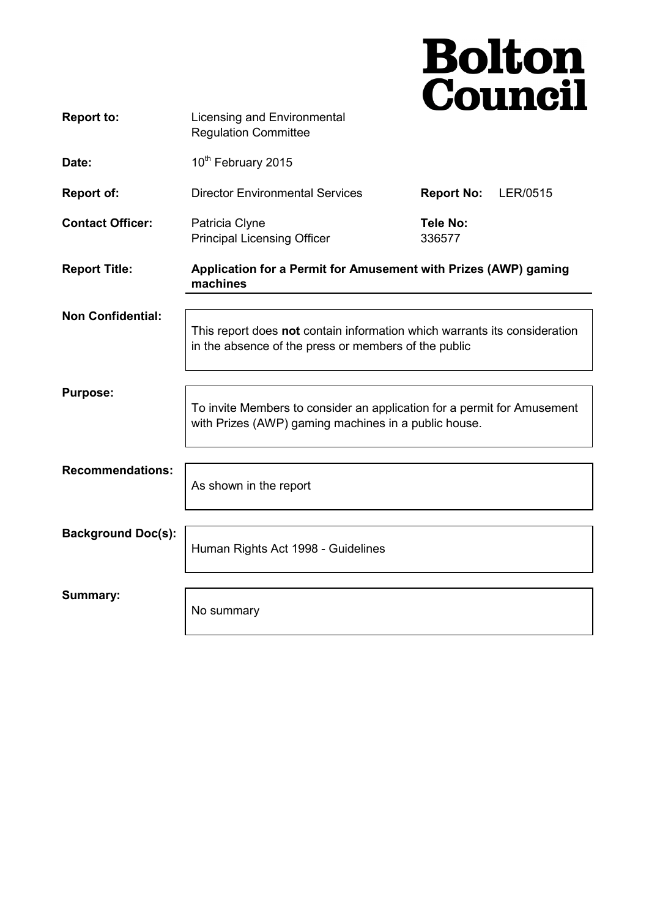|                           |                                                                                                                                   | <b>Bolton<br/>Council</b>     |
|---------------------------|-----------------------------------------------------------------------------------------------------------------------------------|-------------------------------|
| <b>Report to:</b>         | Licensing and Environmental<br><b>Regulation Committee</b>                                                                        |                               |
| Date:                     | 10 <sup>th</sup> February 2015                                                                                                    |                               |
| <b>Report of:</b>         | <b>Director Environmental Services</b>                                                                                            | <b>Report No:</b><br>LER/0515 |
| <b>Contact Officer:</b>   | Patricia Clyne<br><b>Principal Licensing Officer</b>                                                                              | <b>Tele No:</b><br>336577     |
| <b>Report Title:</b>      | Application for a Permit for Amusement with Prizes (AWP) gaming<br>machines                                                       |                               |
| <b>Non Confidential:</b>  |                                                                                                                                   |                               |
|                           | This report does not contain information which warrants its consideration<br>in the absence of the press or members of the public |                               |
| <b>Purpose:</b>           |                                                                                                                                   |                               |
|                           | To invite Members to consider an application for a permit for Amusement<br>with Prizes (AWP) gaming machines in a public house.   |                               |
| <b>Recommendations:</b>   |                                                                                                                                   |                               |
|                           | As shown in the report                                                                                                            |                               |
| <b>Background Doc(s):</b> |                                                                                                                                   |                               |
|                           | Human Rights Act 1998 - Guidelines                                                                                                |                               |
| Summary:                  |                                                                                                                                   |                               |
|                           | No summary                                                                                                                        |                               |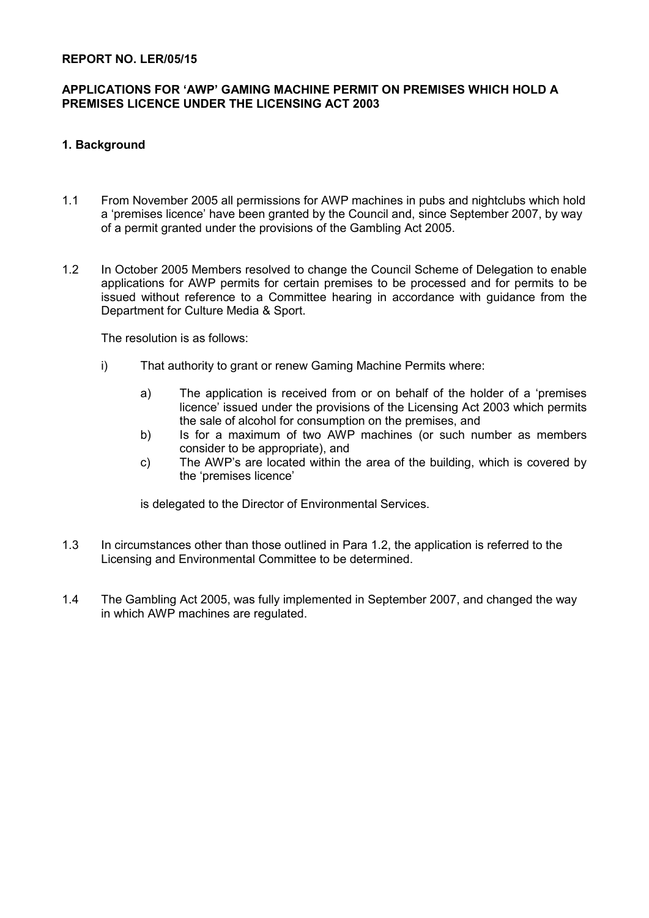#### **REPORT NO. LER/05/15**

## **APPLICATIONS FOR 'AWP' GAMING MACHINE PERMIT ON PREMISES WHICH HOLD A PREMISES LICENCE UNDER THE LICENSING ACT 2003**

## **1. Background**

- 1.1 From November 2005 all permissions for AWP machines in pubs and nightclubs which hold a 'premises licence' have been granted by the Council and, since September 2007, by way of a permit granted under the provisions of the Gambling Act 2005.
- 1.2 In October 2005 Members resolved to change the Council Scheme of Delegation to enable applications for AWP permits for certain premises to be processed and for permits to be issued without reference to a Committee hearing in accordance with guidance from the Department for Culture Media & Sport.

The resolution is as follows:

- i) That authority to grant or renew Gaming Machine Permits where:
	- a) The application is received from or on behalf of the holder of a 'premises licence' issued under the provisions of the Licensing Act 2003 which permits the sale of alcohol for consumption on the premises, and
	- b) Is for a maximum of two AWP machines (or such number as members consider to be appropriate), and
	- c) The AWP's are located within the area of the building, which is covered by the 'premises licence'

is delegated to the Director of Environmental Services.

- 1.3 In circumstances other than those outlined in Para 1.2, the application is referred to the Licensing and Environmental Committee to be determined.
- 1.4 The Gambling Act 2005, was fully implemented in September 2007, and changed the way in which AWP machines are regulated.